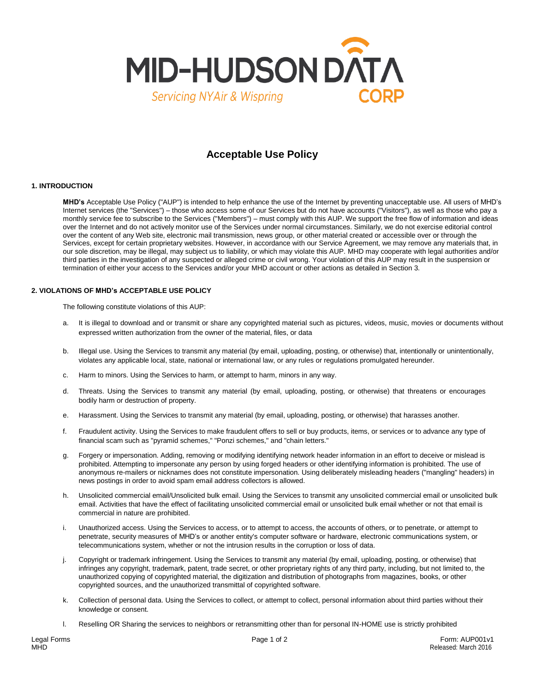

# **Acceptable Use Policy**

## **1. INTRODUCTION**

**MHD's** Acceptable Use Policy ("AUP") is intended to help enhance the use of the Internet by preventing unacceptable use. All users of MHD's Internet services (the "Services") – those who access some of our Services but do not have accounts ("Visitors"), as well as those who pay a monthly service fee to subscribe to the Services ("Members") – must comply with this AUP. We support the free flow of information and ideas over the Internet and do not actively monitor use of the Services under normal circumstances. Similarly, we do not exercise editorial control over the content of any Web site, electronic mail transmission, news group, or other material created or accessible over or through the Services, except for certain proprietary websites. However, in accordance with our Service Agreement, we may remove any materials that, in our sole discretion, may be illegal, may subject us to liability, or which may violate this AUP. MHD may cooperate with legal authorities and/or third parties in the investigation of any suspected or alleged crime or civil wrong. Your violation of this AUP may result in the suspension or termination of either your access to the Services and/or your MHD account or other actions as detailed in Section 3.

#### **2. VIOLATIONS OF MHD's ACCEPTABLE USE POLICY**

The following constitute violations of this AUP:

- a. It is illegal to download and or transmit or share any copyrighted material such as pictures, videos, music, movies or documents without expressed written authorization from the owner of the material, files, or data
- b. Illegal use. Using the Services to transmit any material (by email, uploading, posting, or otherwise) that, intentionally or unintentionally, violates any applicable local, state, national or international law, or any rules or regulations promulgated hereunder.
- c. Harm to minors. Using the Services to harm, or attempt to harm, minors in any way.
- d. Threats. Using the Services to transmit any material (by email, uploading, posting, or otherwise) that threatens or encourages bodily harm or destruction of property.
- e. Harassment. Using the Services to transmit any material (by email, uploading, posting, or otherwise) that harasses another.
- f. Fraudulent activity. Using the Services to make fraudulent offers to sell or buy products, items, or services or to advance any type of financial scam such as "pyramid schemes," "Ponzi schemes," and "chain letters."
- g. Forgery or impersonation. Adding, removing or modifying identifying network header information in an effort to deceive or mislead is prohibited. Attempting to impersonate any person by using forged headers or other identifying information is prohibited. The use of anonymous re-mailers or nicknames does not constitute impersonation. Using deliberately misleading headers ("mangling" headers) in news postings in order to avoid spam email address collectors is allowed.
- h. Unsolicited commercial email/Unsolicited bulk email. Using the Services to transmit any unsolicited commercial email or unsolicited bulk email. Activities that have the effect of facilitating unsolicited commercial email or unsolicited bulk email whether or not that email is commercial in nature are prohibited.
- i. Unauthorized access. Using the Services to access, or to attempt to access, the accounts of others, or to penetrate, or attempt to penetrate, security measures of MHD's or another entity's computer software or hardware, electronic communications system, or telecommunications system, whether or not the intrusion results in the corruption or loss of data.
- j. Copyright or trademark infringement. Using the Services to transmit any material (by email, uploading, posting, or otherwise) that infringes any copyright, trademark, patent, trade secret, or other proprietary rights of any third party, including, but not limited to, the unauthorized copying of copyrighted material, the digitization and distribution of photographs from magazines, books, or other copyrighted sources, and the unauthorized transmittal of copyrighted software.
- k. Collection of personal data. Using the Services to collect, or attempt to collect, personal information about third parties without their knowledge or consent.
- l. Reselling OR Sharing the services to neighbors or retransmitting other than for personal IN-HOME use is strictly prohibited